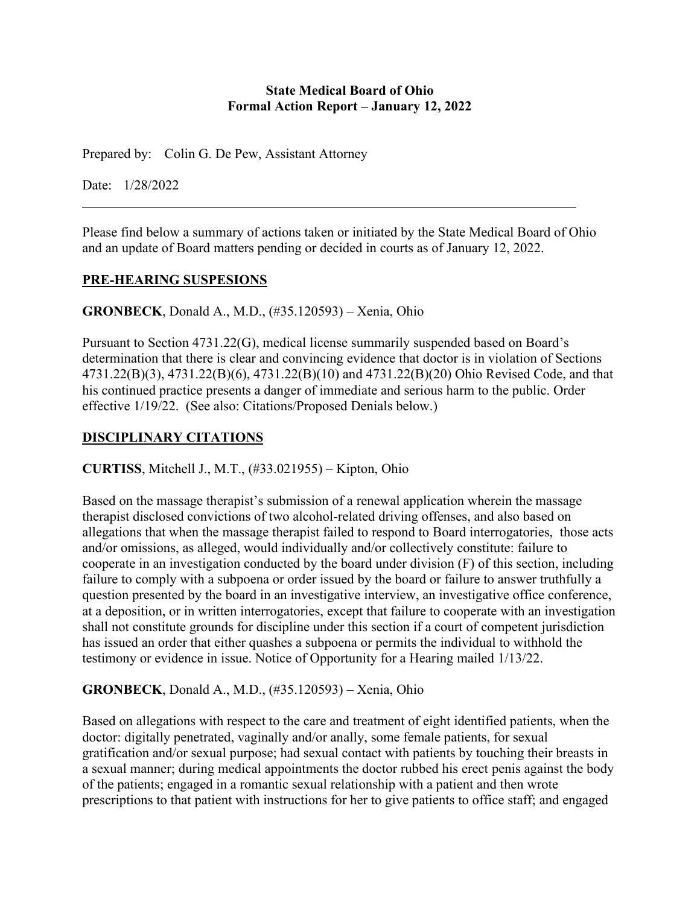#### **State Medical Board of Ohio Formal Action Report – January 12, 2022**

Prepared by: Colin G. De Pew, Assistant Attorney

Date: 1/28/2022

Please find below a summary of actions taken or initiated by the State Medical Board of Ohio and an update of Board matters pending or decided in courts as of January 12, 2022.

#### **PRE-HEARING SUSPESIONS**

**GRONBECK**, Donald A., M.D., (#35.120593) – Xenia, Ohio

Pursuant to Section 4731.22(G), medical license summarily suspended based on Board's determination that there is clear and convincing evidence that doctor is in violation of Sections 4731.22(B)(3), 4731.22(B)(6), 4731.22(B)(10) and 4731.22(B)(20) Ohio Revised Code, and that his continued practice presents a danger of immediate and serious harm to the public. Order effective 1/19/22. (See also: Citations/Proposed Denials below.)

# **DISCIPLINARY CITATIONS**

**CURTISS**, Mitchell J., M.T., (#33.021955) – Kipton, Ohio

Based on the massage therapist's submission of a renewal application wherein the massage therapist disclosed convictions of two alcohol-related driving offenses, and also based on allegations that when the massage therapist failed to respond to Board interrogatories, those acts and/or omissions, as alleged, would individually and/or collectively constitute: failure to cooperate in an investigation conducted by the board under division (F) of this section, including failure to comply with a subpoena or order issued by the board or failure to answer truthfully a question presented by the board in an investigative interview, an investigative office conference, at a deposition, or in written interrogatories, except that failure to cooperate with an investigation shall not constitute grounds for discipline under this section if a court of competent jurisdiction has issued an order that either quashes a subpoena or permits the individual to withhold the testimony or evidence in issue. Notice of Opportunity for a Hearing mailed 1/13/22.

### **GRONBECK**, Donald A., M.D., (#35.120593) – Xenia, Ohio

Based on allegations with respect to the care and treatment of eight identified patients, when the doctor: digitally penetrated, vaginally and/or anally, some female patients, for sexual gratification and/or sexual purpose; had sexual contact with patients by touching their breasts in a sexual manner; during medical appointments the doctor rubbed his erect penis against the body of the patients; engaged in a romantic sexual relationship with a patient and then wrote prescriptions to that patient with instructions for her to give patients to office staff; and engaged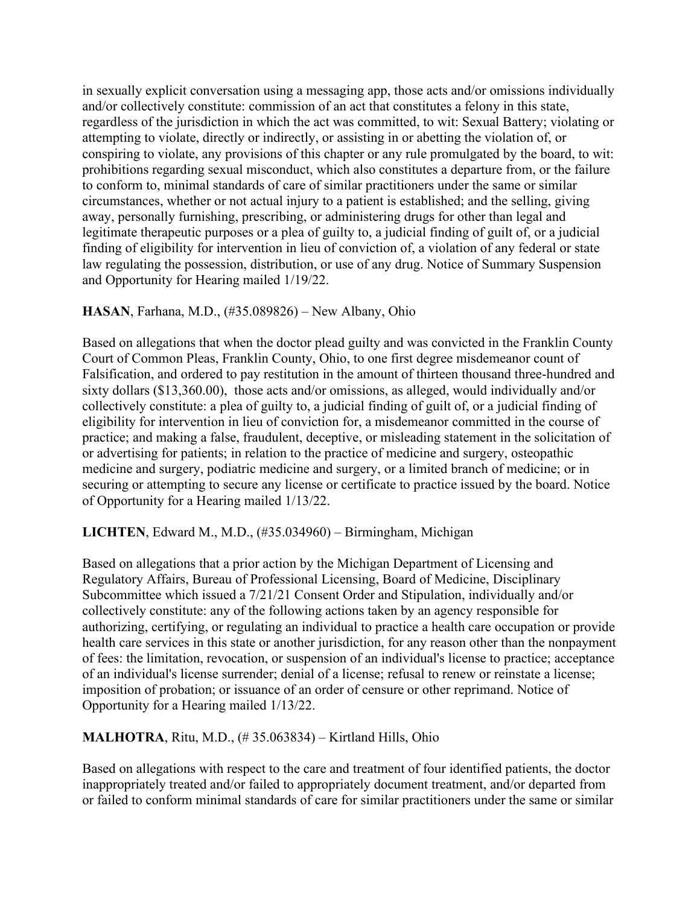in sexually explicit conversation using a messaging app, those acts and/or omissions individually and/or collectively constitute: commission of an act that constitutes a felony in this state, regardless of the jurisdiction in which the act was committed, to wit: Sexual Battery; violating or attempting to violate, directly or indirectly, or assisting in or abetting the violation of, or conspiring to violate, any provisions of this chapter or any rule promulgated by the board, to wit: prohibitions regarding sexual misconduct, which also constitutes a departure from, or the failure to conform to, minimal standards of care of similar practitioners under the same or similar circumstances, whether or not actual injury to a patient is established; and the selling, giving away, personally furnishing, prescribing, or administering drugs for other than legal and legitimate therapeutic purposes or a plea of guilty to, a judicial finding of guilt of, or a judicial finding of eligibility for intervention in lieu of conviction of, a violation of any federal or state law regulating the possession, distribution, or use of any drug. Notice of Summary Suspension and Opportunity for Hearing mailed 1/19/22.

### **HASAN**, Farhana, M.D., (#35.089826) – New Albany, Ohio

Based on allegations that when the doctor plead guilty and was convicted in the Franklin County Court of Common Pleas, Franklin County, Ohio, to one first degree misdemeanor count of Falsification, and ordered to pay restitution in the amount of thirteen thousand three-hundred and sixty dollars (\$13,360.00), those acts and/or omissions, as alleged, would individually and/or collectively constitute: a plea of guilty to, a judicial finding of guilt of, or a judicial finding of eligibility for intervention in lieu of conviction for, a misdemeanor committed in the course of practice; and making a false, fraudulent, deceptive, or misleading statement in the solicitation of or advertising for patients; in relation to the practice of medicine and surgery, osteopathic medicine and surgery, podiatric medicine and surgery, or a limited branch of medicine; or in securing or attempting to secure any license or certificate to practice issued by the board. Notice of Opportunity for a Hearing mailed 1/13/22.

### **LICHTEN**, Edward M., M.D., (#35.034960) – Birmingham, Michigan

Based on allegations that a prior action by the Michigan Department of Licensing and Regulatory Affairs, Bureau of Professional Licensing, Board of Medicine, Disciplinary Subcommittee which issued a 7/21/21 Consent Order and Stipulation, individually and/or collectively constitute: any of the following actions taken by an agency responsible for authorizing, certifying, or regulating an individual to practice a health care occupation or provide health care services in this state or another jurisdiction, for any reason other than the nonpayment of fees: the limitation, revocation, or suspension of an individual's license to practice; acceptance of an individual's license surrender; denial of a license; refusal to renew or reinstate a license; imposition of probation; or issuance of an order of censure or other reprimand. Notice of Opportunity for a Hearing mailed 1/13/22.

### **MALHOTRA**, Ritu, M.D., (# 35.063834) – Kirtland Hills, Ohio

Based on allegations with respect to the care and treatment of four identified patients, the doctor inappropriately treated and/or failed to appropriately document treatment, and/or departed from or failed to conform minimal standards of care for similar practitioners under the same or similar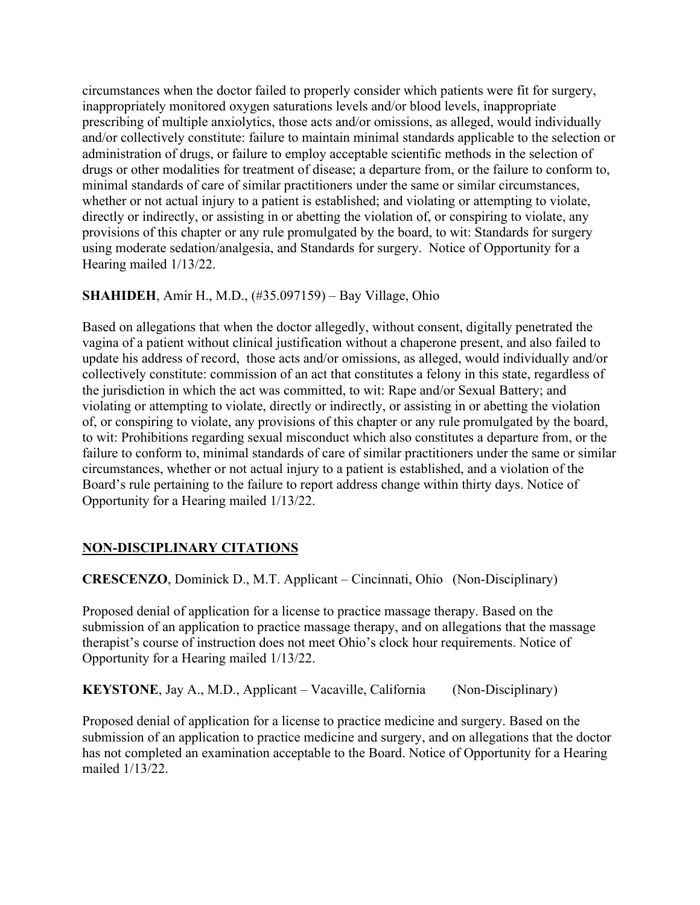circumstances when the doctor failed to properly consider which patients were fit for surgery, inappropriately monitored oxygen saturations levels and/or blood levels, inappropriate prescribing of multiple anxiolytics, those acts and/or omissions, as alleged, would individually and/or collectively constitute: failure to maintain minimal standards applicable to the selection or administration of drugs, or failure to employ acceptable scientific methods in the selection of drugs or other modalities for treatment of disease; a departure from, or the failure to conform to, minimal standards of care of similar practitioners under the same or similar circumstances, whether or not actual injury to a patient is established; and violating or attempting to violate, directly or indirectly, or assisting in or abetting the violation of, or conspiring to violate, any provisions of this chapter or any rule promulgated by the board, to wit: Standards for surgery using moderate sedation/analgesia, and Standards for surgery. Notice of Opportunity for a Hearing mailed 1/13/22.

# **SHAHIDEH**, Amir H., M.D., (#35.097159) – Bay Village, Ohio

Based on allegations that when the doctor allegedly, without consent, digitally penetrated the vagina of a patient without clinical justification without a chaperone present, and also failed to update his address of record, those acts and/or omissions, as alleged, would individually and/or collectively constitute: commission of an act that constitutes a felony in this state, regardless of the jurisdiction in which the act was committed, to wit: Rape and/or Sexual Battery; and violating or attempting to violate, directly or indirectly, or assisting in or abetting the violation of, or conspiring to violate, any provisions of this chapter or any rule promulgated by the board, to wit: Prohibitions regarding sexual misconduct which also constitutes a departure from, or the failure to conform to, minimal standards of care of similar practitioners under the same or similar circumstances, whether or not actual injury to a patient is established, and a violation of the Board's rule pertaining to the failure to report address change within thirty days. Notice of Opportunity for a Hearing mailed 1/13/22.

### **NON-DISCIPLINARY CITATIONS**

**CRESCENZO**, Dominick D., M.T. Applicant – Cincinnati, Ohio (Non-Disciplinary)

Proposed denial of application for a license to practice massage therapy. Based on the submission of an application to practice massage therapy, and on allegations that the massage therapist's course of instruction does not meet Ohio's clock hour requirements. Notice of Opportunity for a Hearing mailed 1/13/22.

**KEYSTONE**, Jay A., M.D., Applicant – Vacaville, California (Non-Disciplinary)

Proposed denial of application for a license to practice medicine and surgery. Based on the submission of an application to practice medicine and surgery, and on allegations that the doctor has not completed an examination acceptable to the Board. Notice of Opportunity for a Hearing mailed 1/13/22.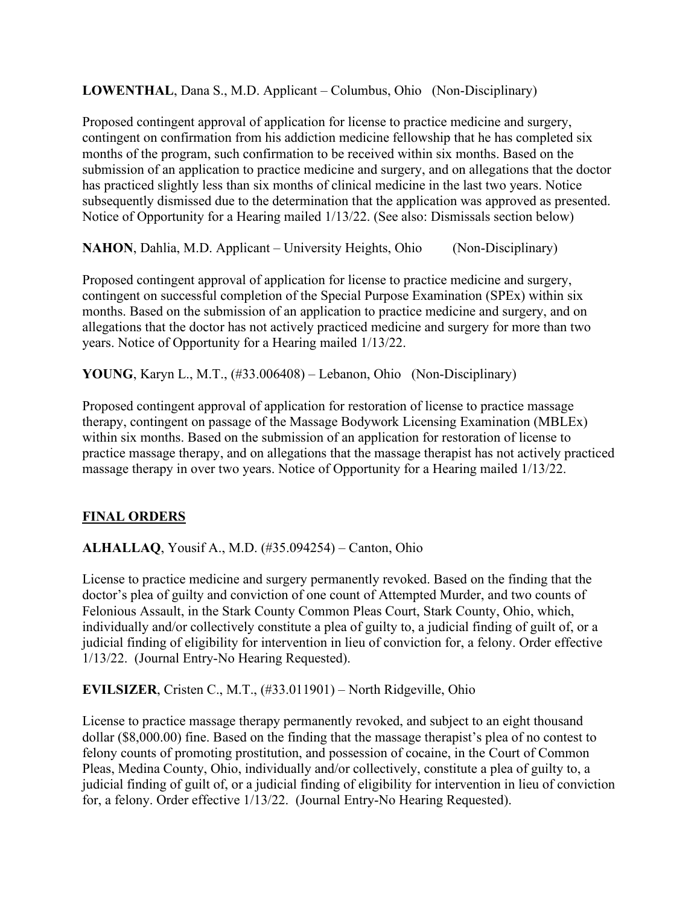**LOWENTHAL**, Dana S., M.D. Applicant – Columbus, Ohio (Non-Disciplinary)

Proposed contingent approval of application for license to practice medicine and surgery, contingent on confirmation from his addiction medicine fellowship that he has completed six months of the program, such confirmation to be received within six months. Based on the submission of an application to practice medicine and surgery, and on allegations that the doctor has practiced slightly less than six months of clinical medicine in the last two years. Notice subsequently dismissed due to the determination that the application was approved as presented. Notice of Opportunity for a Hearing mailed 1/13/22. (See also: Dismissals section below)

**NAHON**, Dahlia, M.D. Applicant – University Heights, Ohio (Non-Disciplinary)

Proposed contingent approval of application for license to practice medicine and surgery, contingent on successful completion of the Special Purpose Examination (SPEx) within six months. Based on the submission of an application to practice medicine and surgery, and on allegations that the doctor has not actively practiced medicine and surgery for more than two years. Notice of Opportunity for a Hearing mailed 1/13/22.

**YOUNG**, Karyn L., M.T., (#33.006408) – Lebanon, Ohio (Non-Disciplinary)

Proposed contingent approval of application for restoration of license to practice massage therapy, contingent on passage of the Massage Bodywork Licensing Examination (MBLEx) within six months. Based on the submission of an application for restoration of license to practice massage therapy, and on allegations that the massage therapist has not actively practiced massage therapy in over two years. Notice of Opportunity for a Hearing mailed 1/13/22.

#### **FINAL ORDERS**

**ALHALLAQ**, Yousif A., M.D. (#35.094254) – Canton, Ohio

License to practice medicine and surgery permanently revoked. Based on the finding that the doctor's plea of guilty and conviction of one count of Attempted Murder, and two counts of Felonious Assault, in the Stark County Common Pleas Court, Stark County, Ohio, which, individually and/or collectively constitute a plea of guilty to, a judicial finding of guilt of, or a judicial finding of eligibility for intervention in lieu of conviction for, a felony. Order effective 1/13/22. (Journal Entry-No Hearing Requested).

**EVILSIZER**, Cristen C., M.T., (#33.011901) – North Ridgeville, Ohio

License to practice massage therapy permanently revoked, and subject to an eight thousand dollar (\$8,000.00) fine. Based on the finding that the massage therapist's plea of no contest to felony counts of promoting prostitution, and possession of cocaine, in the Court of Common Pleas, Medina County, Ohio, individually and/or collectively, constitute a plea of guilty to, a judicial finding of guilt of, or a judicial finding of eligibility for intervention in lieu of conviction for, a felony. Order effective 1/13/22. (Journal Entry-No Hearing Requested).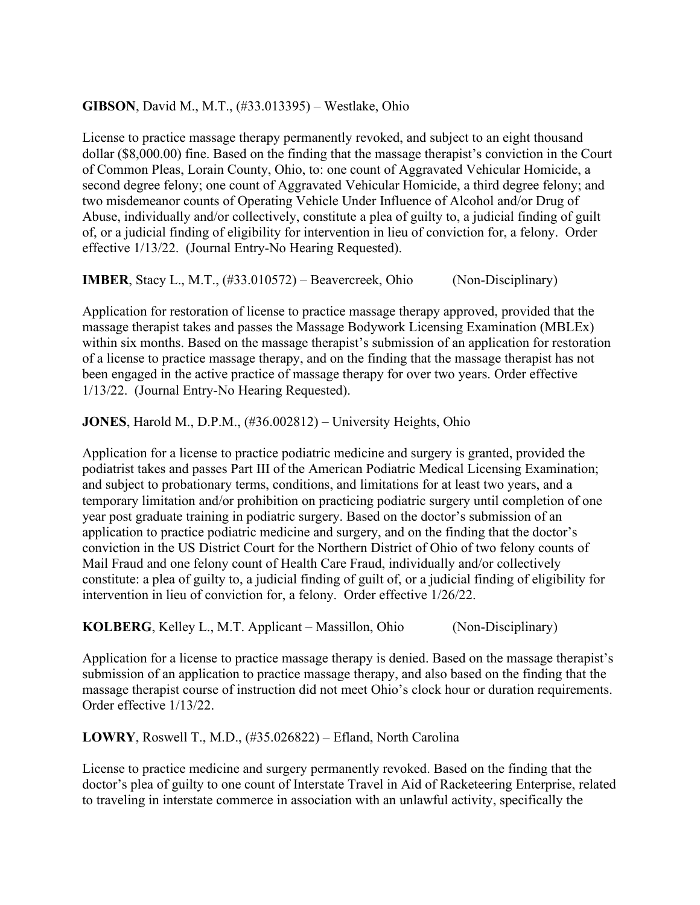### **GIBSON**, David M., M.T., (#33.013395) – Westlake, Ohio

License to practice massage therapy permanently revoked, and subject to an eight thousand dollar (\$8,000.00) fine. Based on the finding that the massage therapist's conviction in the Court of Common Pleas, Lorain County, Ohio, to: one count of Aggravated Vehicular Homicide, a second degree felony; one count of Aggravated Vehicular Homicide, a third degree felony; and two misdemeanor counts of Operating Vehicle Under Influence of Alcohol and/or Drug of Abuse, individually and/or collectively, constitute a plea of guilty to, a judicial finding of guilt of, or a judicial finding of eligibility for intervention in lieu of conviction for, a felony. Order effective 1/13/22. (Journal Entry-No Hearing Requested).

**IMBER**, Stacy L., M.T., (#33.010572) – Beavercreek, Ohio (Non-Disciplinary)

Application for restoration of license to practice massage therapy approved, provided that the massage therapist takes and passes the Massage Bodywork Licensing Examination (MBLEx) within six months. Based on the massage therapist's submission of an application for restoration of a license to practice massage therapy, and on the finding that the massage therapist has not been engaged in the active practice of massage therapy for over two years. Order effective 1/13/22. (Journal Entry-No Hearing Requested).

**JONES**, Harold M., D.P.M., (#36.002812) – University Heights, Ohio

Application for a license to practice podiatric medicine and surgery is granted, provided the podiatrist takes and passes Part III of the American Podiatric Medical Licensing Examination; and subject to probationary terms, conditions, and limitations for at least two years, and a temporary limitation and/or prohibition on practicing podiatric surgery until completion of one year post graduate training in podiatric surgery. Based on the doctor's submission of an application to practice podiatric medicine and surgery, and on the finding that the doctor's conviction in the US District Court for the Northern District of Ohio of two felony counts of Mail Fraud and one felony count of Health Care Fraud, individually and/or collectively constitute: a plea of guilty to, a judicial finding of guilt of, or a judicial finding of eligibility for intervention in lieu of conviction for, a felony. Order effective 1/26/22.

**KOLBERG**, Kelley L., M.T. Applicant – Massillon, Ohio (Non-Disciplinary)

Application for a license to practice massage therapy is denied. Based on the massage therapist's submission of an application to practice massage therapy, and also based on the finding that the massage therapist course of instruction did not meet Ohio's clock hour or duration requirements. Order effective 1/13/22.

**LOWRY**, Roswell T., M.D., (#35.026822) – Efland, North Carolina

License to practice medicine and surgery permanently revoked. Based on the finding that the doctor's plea of guilty to one count of Interstate Travel in Aid of Racketeering Enterprise, related to traveling in interstate commerce in association with an unlawful activity, specifically the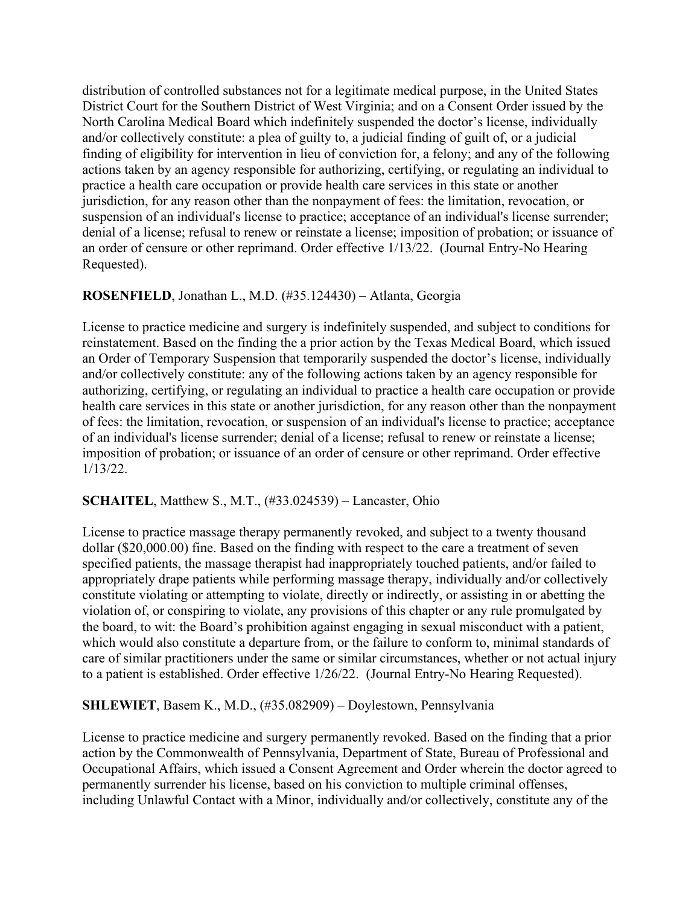distribution of controlled substances not for a legitimate medical purpose, in the United States District Court for the Southern District of West Virginia; and on a Consent Order issued by the North Carolina Medical Board which indefinitely suspended the doctor's license, individually and/or collectively constitute: a plea of guilty to, a judicial finding of guilt of, or a judicial finding of eligibility for intervention in lieu of conviction for, a felony; and any of the following actions taken by an agency responsible for authorizing, certifying, or regulating an individual to practice a health care occupation or provide health care services in this state or another jurisdiction, for any reason other than the nonpayment of fees: the limitation, revocation, or suspension of an individual's license to practice; acceptance of an individual's license surrender; denial of a license; refusal to renew or reinstate a license; imposition of probation; or issuance of an order of censure or other reprimand. Order effective 1/13/22. (Journal Entry-No Hearing Requested).

### **ROSENFIELD**, Jonathan L., M.D. (#35.124430) – Atlanta, Georgia

License to practice medicine and surgery is indefinitely suspended, and subject to conditions for reinstatement. Based on the finding the a prior action by the Texas Medical Board, which issued an Order of Temporary Suspension that temporarily suspended the doctor's license, individually and/or collectively constitute: any of the following actions taken by an agency responsible for authorizing, certifying, or regulating an individual to practice a health care occupation or provide health care services in this state or another jurisdiction, for any reason other than the nonpayment of fees: the limitation, revocation, or suspension of an individual's license to practice; acceptance of an individual's license surrender; denial of a license; refusal to renew or reinstate a license; imposition of probation; or issuance of an order of censure or other reprimand. Order effective 1/13/22.

### **SCHAITEL**, Matthew S., M.T., (#33.024539) – Lancaster, Ohio

License to practice massage therapy permanently revoked, and subject to a twenty thousand dollar (\$20,000.00) fine. Based on the finding with respect to the care a treatment of seven specified patients, the massage therapist had inappropriately touched patients, and/or failed to appropriately drape patients while performing massage therapy, individually and/or collectively constitute violating or attempting to violate, directly or indirectly, or assisting in or abetting the violation of, or conspiring to violate, any provisions of this chapter or any rule promulgated by the board, to wit: the Board's prohibition against engaging in sexual misconduct with a patient, which would also constitute a departure from, or the failure to conform to, minimal standards of care of similar practitioners under the same or similar circumstances, whether or not actual injury to a patient is established. Order effective 1/26/22. (Journal Entry-No Hearing Requested).

# **SHLEWIET**, Basem K., M.D., (#35.082909) – Doylestown, Pennsylvania

License to practice medicine and surgery permanently revoked. Based on the finding that a prior action by the Commonwealth of Pennsylvania, Department of State, Bureau of Professional and Occupational Affairs, which issued a Consent Agreement and Order wherein the doctor agreed to permanently surrender his license, based on his conviction to multiple criminal offenses, including Unlawful Contact with a Minor, individually and/or collectively, constitute any of the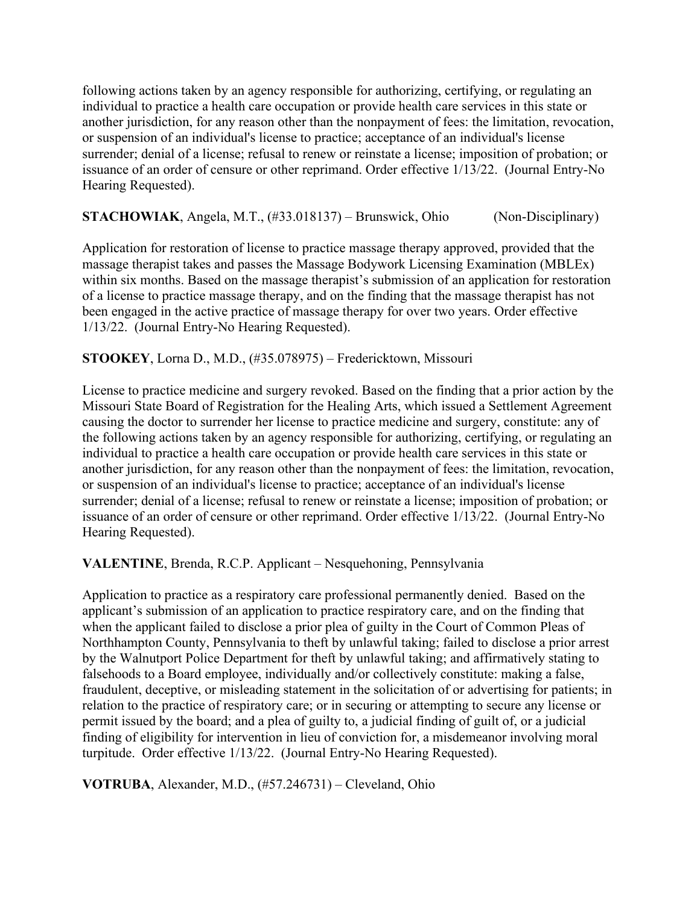following actions taken by an agency responsible for authorizing, certifying, or regulating an individual to practice a health care occupation or provide health care services in this state or another jurisdiction, for any reason other than the nonpayment of fees: the limitation, revocation, or suspension of an individual's license to practice; acceptance of an individual's license surrender; denial of a license; refusal to renew or reinstate a license; imposition of probation; or issuance of an order of censure or other reprimand. Order effective 1/13/22. (Journal Entry-No Hearing Requested).

**STACHOWIAK**, Angela, M.T., (#33.018137) – Brunswick, Ohio (Non-Disciplinary)

Application for restoration of license to practice massage therapy approved, provided that the massage therapist takes and passes the Massage Bodywork Licensing Examination (MBLEx) within six months. Based on the massage therapist's submission of an application for restoration of a license to practice massage therapy, and on the finding that the massage therapist has not been engaged in the active practice of massage therapy for over two years. Order effective 1/13/22. (Journal Entry-No Hearing Requested).

#### **STOOKEY**, Lorna D., M.D., (#35.078975) – Fredericktown, Missouri

License to practice medicine and surgery revoked. Based on the finding that a prior action by the Missouri State Board of Registration for the Healing Arts, which issued a Settlement Agreement causing the doctor to surrender her license to practice medicine and surgery, constitute: any of the following actions taken by an agency responsible for authorizing, certifying, or regulating an individual to practice a health care occupation or provide health care services in this state or another jurisdiction, for any reason other than the nonpayment of fees: the limitation, revocation, or suspension of an individual's license to practice; acceptance of an individual's license surrender; denial of a license; refusal to renew or reinstate a license; imposition of probation; or issuance of an order of censure or other reprimand. Order effective 1/13/22. (Journal Entry-No Hearing Requested).

**VALENTINE**, Brenda, R.C.P. Applicant – Nesquehoning, Pennsylvania

Application to practice as a respiratory care professional permanently denied. Based on the applicant's submission of an application to practice respiratory care, and on the finding that when the applicant failed to disclose a prior plea of guilty in the Court of Common Pleas of Northhampton County, Pennsylvania to theft by unlawful taking; failed to disclose a prior arrest by the Walnutport Police Department for theft by unlawful taking; and affirmatively stating to falsehoods to a Board employee, individually and/or collectively constitute: making a false, fraudulent, deceptive, or misleading statement in the solicitation of or advertising for patients; in relation to the practice of respiratory care; or in securing or attempting to secure any license or permit issued by the board; and a plea of guilty to, a judicial finding of guilt of, or a judicial finding of eligibility for intervention in lieu of conviction for, a misdemeanor involving moral turpitude. Order effective 1/13/22. (Journal Entry-No Hearing Requested).

**VOTRUBA**, Alexander, M.D., (#57.246731) – Cleveland, Ohio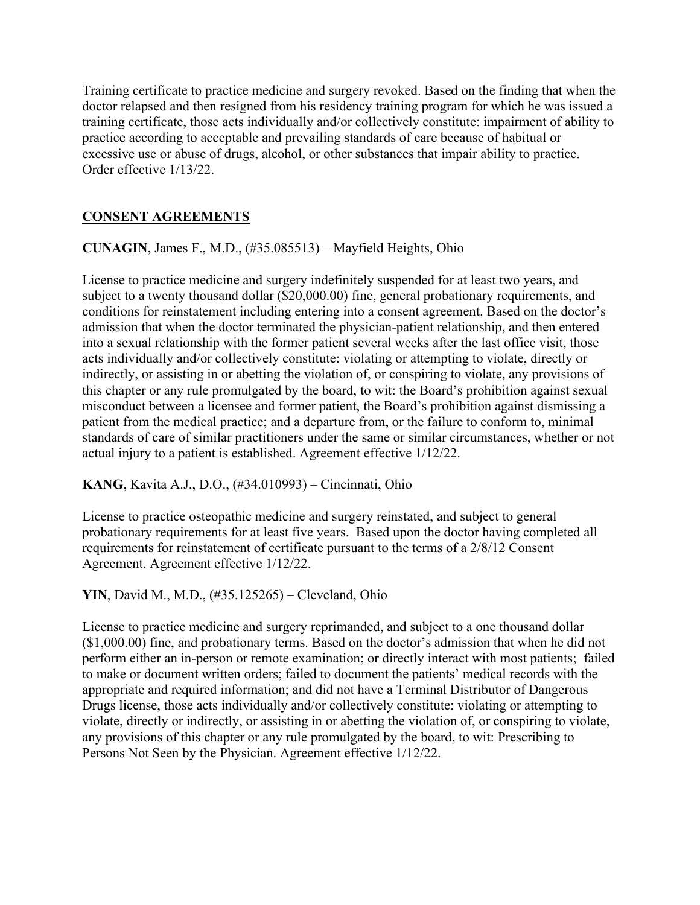Training certificate to practice medicine and surgery revoked. Based on the finding that when the doctor relapsed and then resigned from his residency training program for which he was issued a training certificate, those acts individually and/or collectively constitute: impairment of ability to practice according to acceptable and prevailing standards of care because of habitual or excessive use or abuse of drugs, alcohol, or other substances that impair ability to practice. Order effective 1/13/22.

# **CONSENT AGREEMENTS**

**CUNAGIN**, James F., M.D., (#35.085513) – Mayfield Heights, Ohio

License to practice medicine and surgery indefinitely suspended for at least two years, and subject to a twenty thousand dollar (\$20,000.00) fine, general probationary requirements, and conditions for reinstatement including entering into a consent agreement. Based on the doctor's admission that when the doctor terminated the physician-patient relationship, and then entered into a sexual relationship with the former patient several weeks after the last office visit, those acts individually and/or collectively constitute: violating or attempting to violate, directly or indirectly, or assisting in or abetting the violation of, or conspiring to violate, any provisions of this chapter or any rule promulgated by the board, to wit: the Board's prohibition against sexual misconduct between a licensee and former patient, the Board's prohibition against dismissing a patient from the medical practice; and a departure from, or the failure to conform to, minimal standards of care of similar practitioners under the same or similar circumstances, whether or not actual injury to a patient is established. Agreement effective 1/12/22.

**KANG**, Kavita A.J., D.O., (#34.010993) – Cincinnati, Ohio

License to practice osteopathic medicine and surgery reinstated, and subject to general probationary requirements for at least five years. Based upon the doctor having completed all requirements for reinstatement of certificate pursuant to the terms of a 2/8/12 Consent Agreement. Agreement effective 1/12/22.

**YIN**, David M., M.D., (#35.125265) – Cleveland, Ohio

License to practice medicine and surgery reprimanded, and subject to a one thousand dollar (\$1,000.00) fine, and probationary terms. Based on the doctor's admission that when he did not perform either an in-person or remote examination; or directly interact with most patients; failed to make or document written orders; failed to document the patients' medical records with the appropriate and required information; and did not have a Terminal Distributor of Dangerous Drugs license, those acts individually and/or collectively constitute: violating or attempting to violate, directly or indirectly, or assisting in or abetting the violation of, or conspiring to violate, any provisions of this chapter or any rule promulgated by the board, to wit: Prescribing to Persons Not Seen by the Physician. Agreement effective 1/12/22.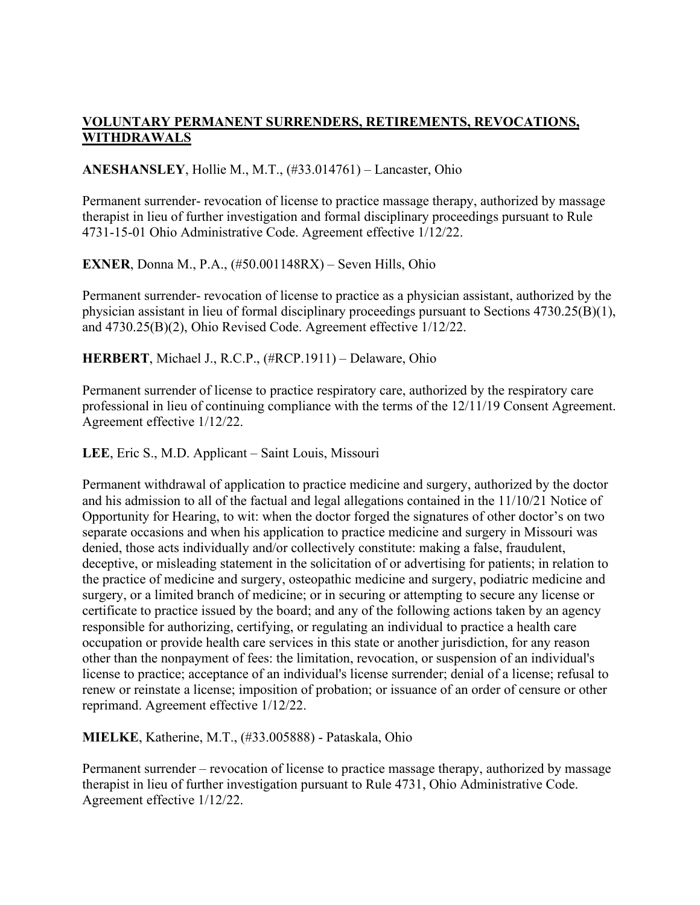# **VOLUNTARY PERMANENT SURRENDERS, RETIREMENTS, REVOCATIONS, WITHDRAWALS**

### **ANESHANSLEY**, Hollie M., M.T., (#33.014761) – Lancaster, Ohio

Permanent surrender- revocation of license to practice massage therapy, authorized by massage therapist in lieu of further investigation and formal disciplinary proceedings pursuant to Rule 4731-15-01 Ohio Administrative Code. Agreement effective 1/12/22.

**EXNER**, Donna M., P.A., (#50.001148RX) – Seven Hills, Ohio

Permanent surrender- revocation of license to practice as a physician assistant, authorized by the physician assistant in lieu of formal disciplinary proceedings pursuant to Sections 4730.25(B)(1), and 4730.25(B)(2), Ohio Revised Code. Agreement effective 1/12/22.

**HERBERT**, Michael J., R.C.P., (#RCP.1911) – Delaware, Ohio

Permanent surrender of license to practice respiratory care, authorized by the respiratory care professional in lieu of continuing compliance with the terms of the 12/11/19 Consent Agreement. Agreement effective 1/12/22.

**LEE**, Eric S., M.D. Applicant – Saint Louis, Missouri

Permanent withdrawal of application to practice medicine and surgery, authorized by the doctor and his admission to all of the factual and legal allegations contained in the 11/10/21 Notice of Opportunity for Hearing, to wit: when the doctor forged the signatures of other doctor's on two separate occasions and when his application to practice medicine and surgery in Missouri was denied, those acts individually and/or collectively constitute: making a false, fraudulent, deceptive, or misleading statement in the solicitation of or advertising for patients; in relation to the practice of medicine and surgery, osteopathic medicine and surgery, podiatric medicine and surgery, or a limited branch of medicine; or in securing or attempting to secure any license or certificate to practice issued by the board; and any of the following actions taken by an agency responsible for authorizing, certifying, or regulating an individual to practice a health care occupation or provide health care services in this state or another jurisdiction, for any reason other than the nonpayment of fees: the limitation, revocation, or suspension of an individual's license to practice; acceptance of an individual's license surrender; denial of a license; refusal to renew or reinstate a license; imposition of probation; or issuance of an order of censure or other reprimand. Agreement effective 1/12/22.

**MIELKE**, Katherine, M.T., (#33.005888) - Pataskala, Ohio

Permanent surrender – revocation of license to practice massage therapy, authorized by massage therapist in lieu of further investigation pursuant to Rule 4731, Ohio Administrative Code. Agreement effective 1/12/22.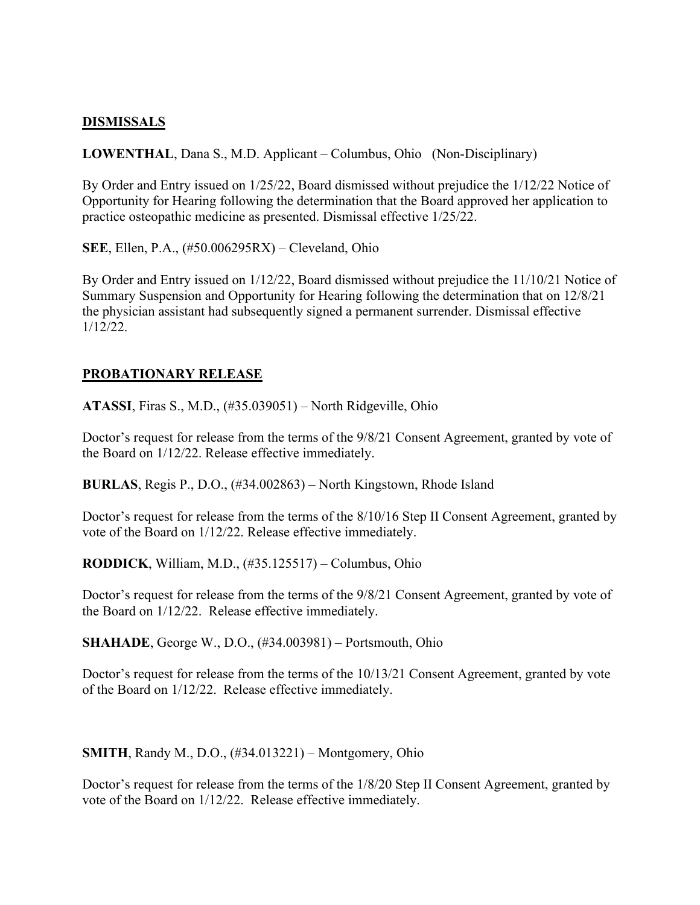#### **DISMISSALS**

**LOWENTHAL**, Dana S., M.D. Applicant – Columbus, Ohio (Non-Disciplinary)

By Order and Entry issued on 1/25/22, Board dismissed without prejudice the 1/12/22 Notice of Opportunity for Hearing following the determination that the Board approved her application to practice osteopathic medicine as presented. Dismissal effective 1/25/22.

**SEE**, Ellen, P.A., (#50.006295RX) – Cleveland, Ohio

By Order and Entry issued on 1/12/22, Board dismissed without prejudice the 11/10/21 Notice of Summary Suspension and Opportunity for Hearing following the determination that on 12/8/21 the physician assistant had subsequently signed a permanent surrender. Dismissal effective 1/12/22.

#### **PROBATIONARY RELEASE**

**ATASSI**, Firas S., M.D., (#35.039051) – North Ridgeville, Ohio

Doctor's request for release from the terms of the 9/8/21 Consent Agreement, granted by vote of the Board on 1/12/22. Release effective immediately.

**BURLAS**, Regis P., D.O., (#34.002863) – North Kingstown, Rhode Island

Doctor's request for release from the terms of the 8/10/16 Step II Consent Agreement, granted by vote of the Board on 1/12/22. Release effective immediately.

**RODDICK**, William, M.D., (#35.125517) – Columbus, Ohio

Doctor's request for release from the terms of the 9/8/21 Consent Agreement, granted by vote of the Board on 1/12/22. Release effective immediately.

**SHAHADE**, George W., D.O., (#34.003981) – Portsmouth, Ohio

Doctor's request for release from the terms of the 10/13/21 Consent Agreement, granted by vote of the Board on 1/12/22. Release effective immediately.

**SMITH**, Randy M., D.O., (#34.013221) – Montgomery, Ohio

Doctor's request for release from the terms of the 1/8/20 Step II Consent Agreement, granted by vote of the Board on 1/12/22. Release effective immediately.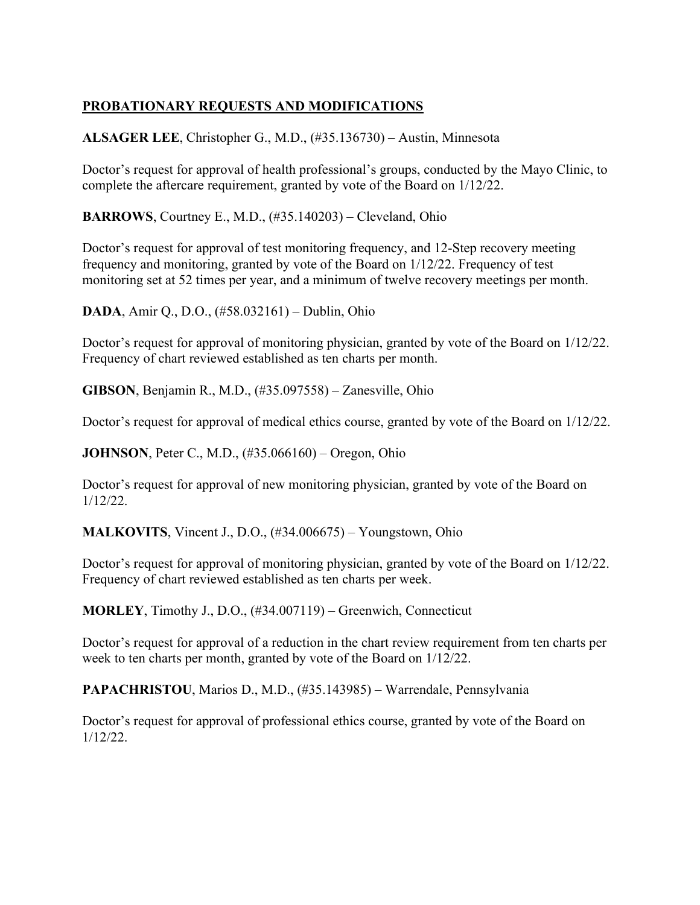# **PROBATIONARY REQUESTS AND MODIFICATIONS**

**ALSAGER LEE**, Christopher G., M.D., (#35.136730) – Austin, Minnesota

Doctor's request for approval of health professional's groups, conducted by the Mayo Clinic, to complete the aftercare requirement, granted by vote of the Board on 1/12/22.

**BARROWS**, Courtney E., M.D., (#35.140203) – Cleveland, Ohio

Doctor's request for approval of test monitoring frequency, and 12-Step recovery meeting frequency and monitoring, granted by vote of the Board on 1/12/22. Frequency of test monitoring set at 52 times per year, and a minimum of twelve recovery meetings per month.

**DADA**, Amir Q., D.O., (#58.032161) – Dublin, Ohio

Doctor's request for approval of monitoring physician, granted by vote of the Board on 1/12/22. Frequency of chart reviewed established as ten charts per month.

**GIBSON**, Benjamin R., M.D., (#35.097558) – Zanesville, Ohio

Doctor's request for approval of medical ethics course, granted by vote of the Board on 1/12/22.

**JOHNSON**, Peter C., M.D., (#35.066160) – Oregon, Ohio

Doctor's request for approval of new monitoring physician, granted by vote of the Board on 1/12/22.

**MALKOVITS**, Vincent J., D.O., (#34.006675) – Youngstown, Ohio

Doctor's request for approval of monitoring physician, granted by vote of the Board on 1/12/22. Frequency of chart reviewed established as ten charts per week.

**MORLEY**, Timothy J., D.O., (#34.007119) – Greenwich, Connecticut

Doctor's request for approval of a reduction in the chart review requirement from ten charts per week to ten charts per month, granted by vote of the Board on 1/12/22.

**PAPACHRISTOU**, Marios D., M.D., (#35.143985) – Warrendale, Pennsylvania

Doctor's request for approval of professional ethics course, granted by vote of the Board on 1/12/22.